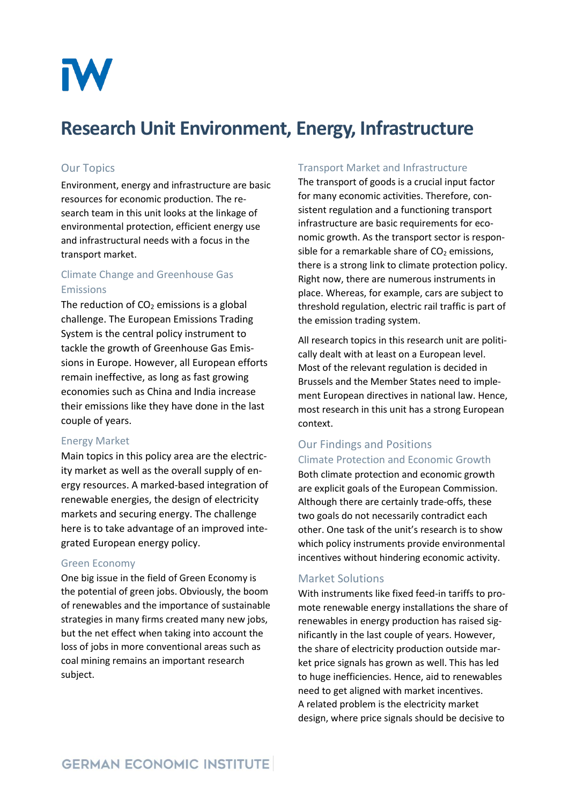

# **Research Unit Environment, Energy, Infrastructure**

#### Our Topics

Environment, energy and infrastructure are basic resources for economic production. The research team in this unit looks at the linkage of environmental protection, efficient energy use and infrastructural needs with a focus in the transport market.

## Climate Change and Greenhouse Gas Emissions

The reduction of  $CO<sub>2</sub>$  emissions is a global challenge. The European Emissions Trading System is the central policy instrument to tackle the growth of Greenhouse Gas Emissions in Europe. However, all European efforts remain ineffective, as long as fast growing economies such as China and India increase their emissions like they have done in the last couple of years.

#### Energy Market

Main topics in this policy area are the electricity market as well as the overall supply of energy resources. A marked-based integration of renewable energies, the design of electricity markets and securing energy. The challenge here is to take advantage of an improved integrated European energy policy.

#### Green Economy

One big issue in the field of Green Economy is the potential of green jobs. Obviously, the boom of renewables and the importance of sustainable strategies in many firms created many new jobs, but the net effect when taking into account the loss of jobs in more conventional areas such as coal mining remains an important research subject.

#### Transport Market and Infrastructure

The transport of goods is a crucial input factor for many economic activities. Therefore, consistent regulation and a functioning transport infrastructure are basic requirements for economic growth. As the transport sector is responsible for a remarkable share of  $CO<sub>2</sub>$  emissions, there is a strong link to climate protection policy. Right now, there are numerous instruments in place. Whereas, for example, cars are subject to threshold regulation, electric rail traffic is part of the emission trading system.

All research topics in this research unit are politically dealt with at least on a European level. Most of the relevant regulation is decided in Brussels and the Member States need to implement European directives in national law. Hence, most research in this unit has a strong European context.

### Our Findings and Positions Climate Protection and Economic Growth

Both climate protection and economic growth are explicit goals of the European Commission. Although there are certainly trade-offs, these two goals do not necessarily contradict each other. One task of the unit's research is to show which policy instruments provide environmental incentives without hindering economic activity.

#### Market Solutions

With instruments like fixed feed-in tariffs to promote renewable energy installations the share of renewables in energy production has raised significantly in the last couple of years. However, the share of electricity production outside market price signals has grown as well. This has led to huge inefficiencies. Hence, aid to renewables need to get aligned with market incentives. A related problem is the electricity market design, where price signals should be decisive to